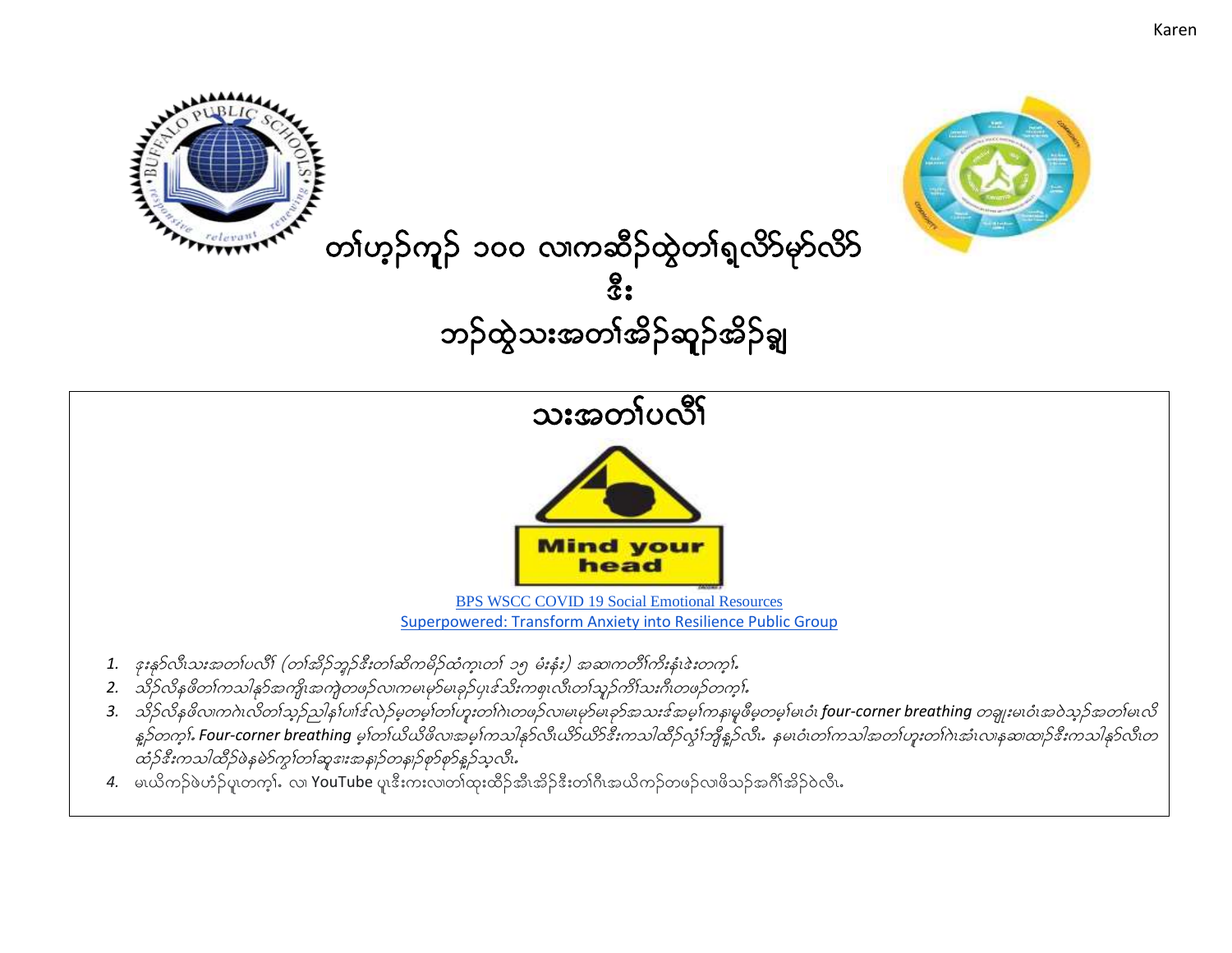





## သးအတ္ပါပလို **Mind your** head **BPS WSCC COVID 19 Social Emotional Resources** Superpowered: Transform Anxiety into Resilience Public Group 1. နူးနဝ်လီးသူအတုပ်လိုး (တ္ကနေ့ဉ်ဘူဉ်နီးတုန်ဆိုက္ခမိုင်ထံုကွယ်၊ ၁၅ မီးနီး) အဆက္တတိုက်ိုးနီးနဲးတက္ခါ. 2. သို့ဉ်လိနဖိတၢ်ကသါနှာ်အကျိုးအကျဲတဖဉ်လ၊ကမ၊မှာ်မ၊ခုဉ်ပု၊ဒ်သိးကစု၊လီ၊တၢ်သူဉ်ကိၢ်သးဂီ၊တဖဉ်တက္န၊်. 3. သိုက်နဖိလ၊ကဂဲ၊လိတၢ်သုဉ်သါန၊်ပၢါဒ်လဲဉ်မှတမှု၊်တ၊်ဟူးတ၊်ဂဲ၊တဖဉ်လ၊မျာမများမှာအမှုအမှုအမှုဖိမှတမှု၊်မ၊ဝံ၊ four-corner breathing တချူးမ၊ဝံ၊အဝဲသုဉ်အတ၊်မ၊လိ နဉ်တက္ငုံ. Four-corner breathing မွန်တယ်ယိဖိလာအမွန်ကသါနှင့်လီးယိခ်ယ်ခန်းကသါထိဉ်လုံးကြီနဉ်လီး. နမၤဝံးတစ်ကသါအတုပြားတစ်ပဲအသည် အောထာဉ်နီးကသါနှင်လီးတ

- ထံဉ်ဒီးကသါထိဉ်ဖဲနမဲဉ်ကွၢ်တၢ်ဆူစူးအနှုဉ်တနျဉ်စှဉ်စှဉ်နှဉ်သူလီး.
- 4. မယိကဉ်ဖဲဟ်ဉ်ပူတက္န}်း လ YouTube ပူးဒီးကးလ၊တာ်ထူးထိဉ်အီးအိဉ်ဒီးတာ်ဂီးအယိကဉ်တဖဉ်လ၊ဖိသဉ်အင်္ဂါအိဉ်ဝဲလီး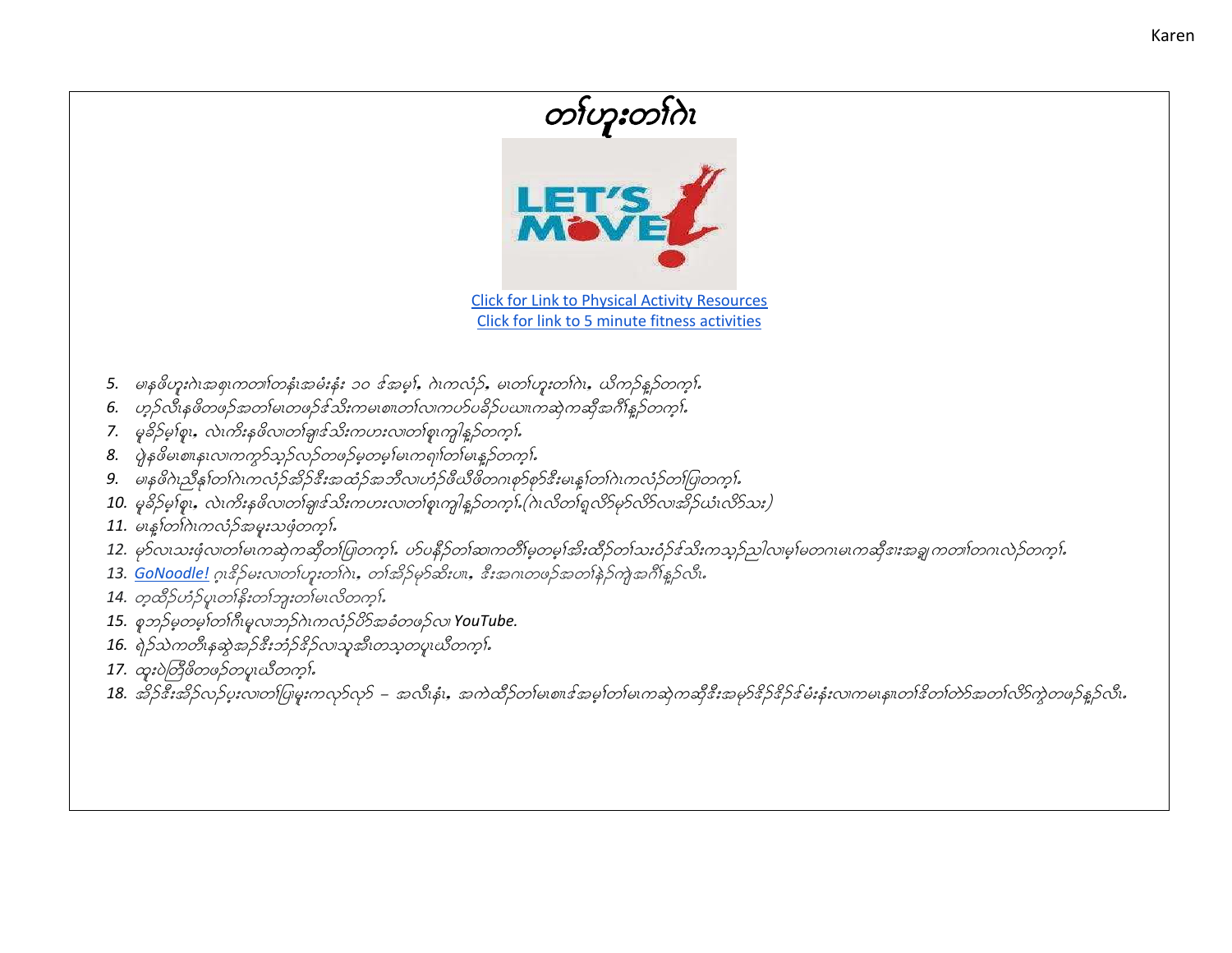## **Click for Link to Physical Activity Resources** Click for link to 5 minute fitness activities 5. မှနစိတူးဂဲ၊အစု၊ကတ္တ၊်တနံ၊အမီးနံး ၁၀ ဒ်အမ္), ဂဲ၊ကလံဉ်, မ၊တ္ပ္ပဟားတ္ပါဂဲ၊, ယိကဉ်နဉ်တက္ခါ. 6. ဟုဉ်လီးနဖိတဖဉ်အတၤ်မ၊တဖဉ်ဒ်သိးကမ၊စ။တၤ်လ၊ကဟ်ပခိဉ်ပဃ။ကဆုဲကဆိုအင်္ဂါန္ဓဉ်တက္န၊် 7. မူခိဉ်မှုစ်စူး, လဲ၊ကိုးနှဖိလ၊တစြှားင်သိုးကဟးလ၊တစြုကျါနှဉ်တက္ခါ. 8. ပွဲနှဖိမ၊စ။န၊လ၊ကက္ကာသည်လည်တဖည်မှတမ္ ါမ၊ကရု၊ါတ္ဂါမ၊န္ ည်တက္ဂါ. 9. မန္မဖိဂဲယ္မွာန္ပါတ္ပါဂဲၤကလံုခ်အိုခ်င္မွီးအထံုခ်အဘိလ၊ဟံုခ်ဖီယီဖိတ္ကျစုခ်စုခ်င္မွဳးမႈန္ပါတ္ပါဂဲၤကလံုခ်တ္ပါပြုတက္နႈ 10. မှုခိဉ်မှုစုံး, လဲ၊ကိုးနဖိလ၊တစျားသီးကပားလ၊တစု၊ကျါန္နဉ်တက္န၊် (ဂဲ၊လိတၢ်ရှလိ9်မှာ်လိ9်လ၊အိုဉ်ယံ၊လိ9်သး) 11. မးနှစ်တဂါးကလံ့ဉ်အမူးသဖုံတက္ကါ. 12. မှာ်လယားဖုံလ၊တါမ၊ကဆုဲကဆိုတါပြုတက္}. ဟ်ပနီဉ်တါဆ၊ကတိၢမ္ခတမ္န၊အိႏထိဉ်တါသးဝံဉ်ဒသိးကသုဉ်ညါလ၊မ္န၊မတဂ၊မ၊ကဆိုဒ၊းအချကတ၊ါတဂ၊လဲဉ်တက္}. 13. GoNoodle! ဂူးနဉ်မးလကတ်ဟူးတကဲ၊, တက်ိဉ်မှာ်ဆီးပ။, နီးအဂၤတဖဉ်အတန်ဉ်ကျဲအင်္ဂါနဉ်လီး. 14. တူထိဉ်ဟံဉ်ပူတန်နီးတကျွးတစမေးလိတကူး်

- 15. စုဘဉ်မှတမှက်ကြိုမူလ၊ဘဉ်ဂဲၤကလံဉ်ပိဉ်အခံတဖဉ်လ၊ YouTube.
- 16. ရဲဉ်သဲကတီးနဆွဲအဉ်ဒီးဘံဉ်ဒိဉ်လ၊သူအီးတသူတပူးယီတက္န}်
- 17. ထူးပဲတြိဖိတဖဉ်တပူဃိတက္နႈ်
- 18. အိဉ်နီးအိဉ်လဉ်ပူးလ၊တ၊်ပြမူးကလုာ်လှာ် အလီးနံး, အကဲထိဉ်တ၊်မ၊စ။ဒါအမှ၊်တ၊်မ၊ကဆုဲကဆိုနီးအမှာနိဉ်နိမ်းနှံးလ၊ကမ၊န။တ၊်နိတ၊်တာအတ၊်လိာကွဲတဖဉ်နှဉ်လီး.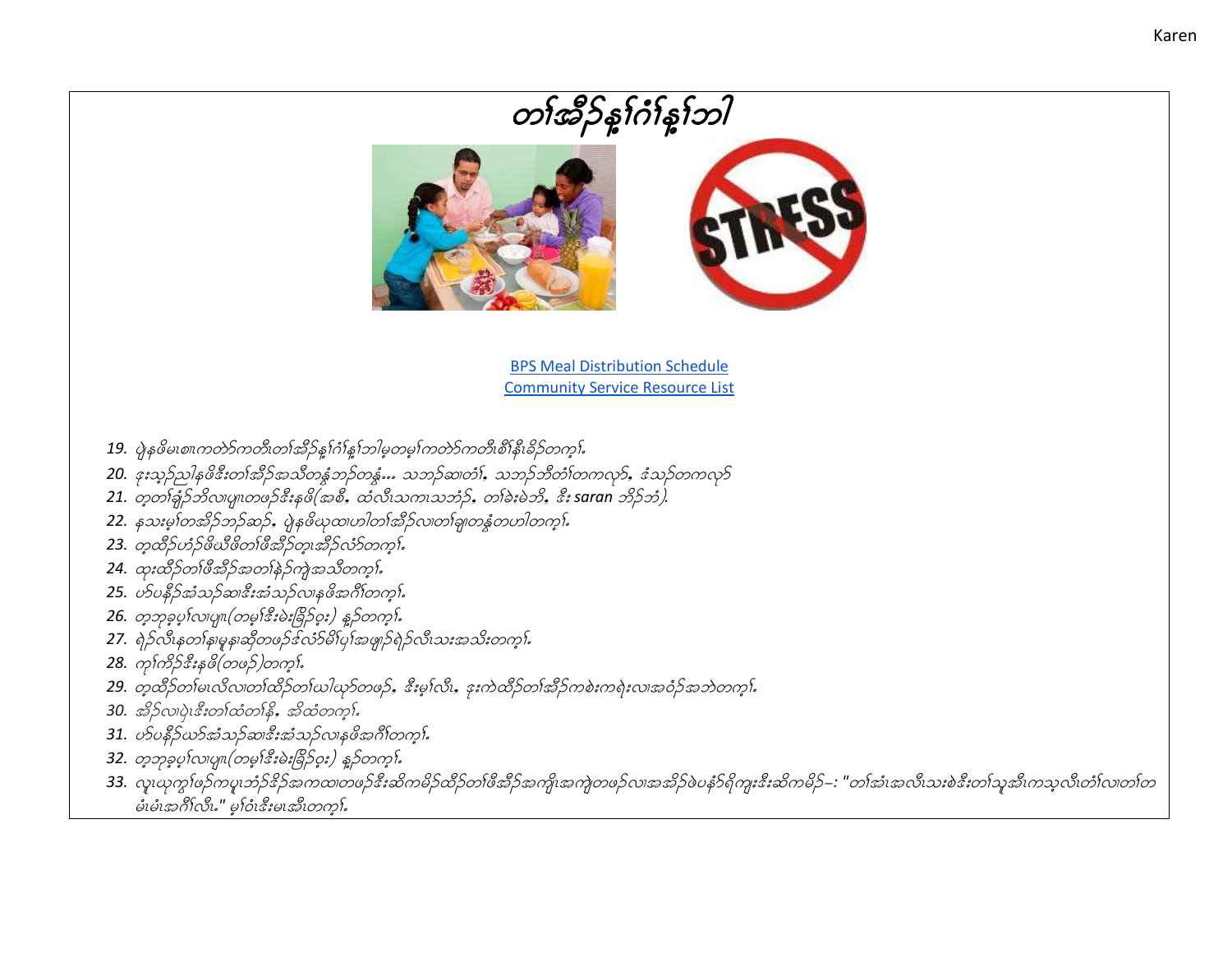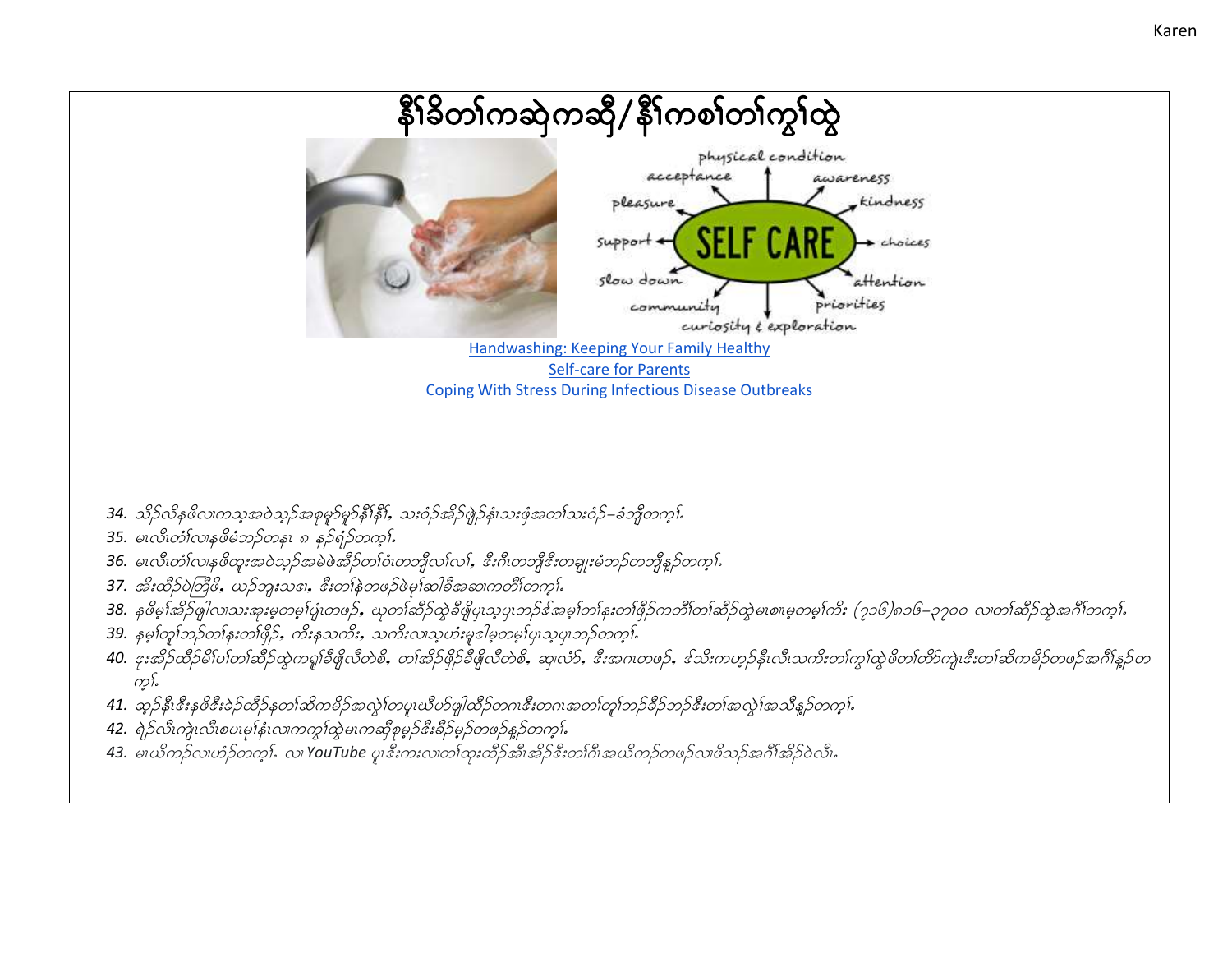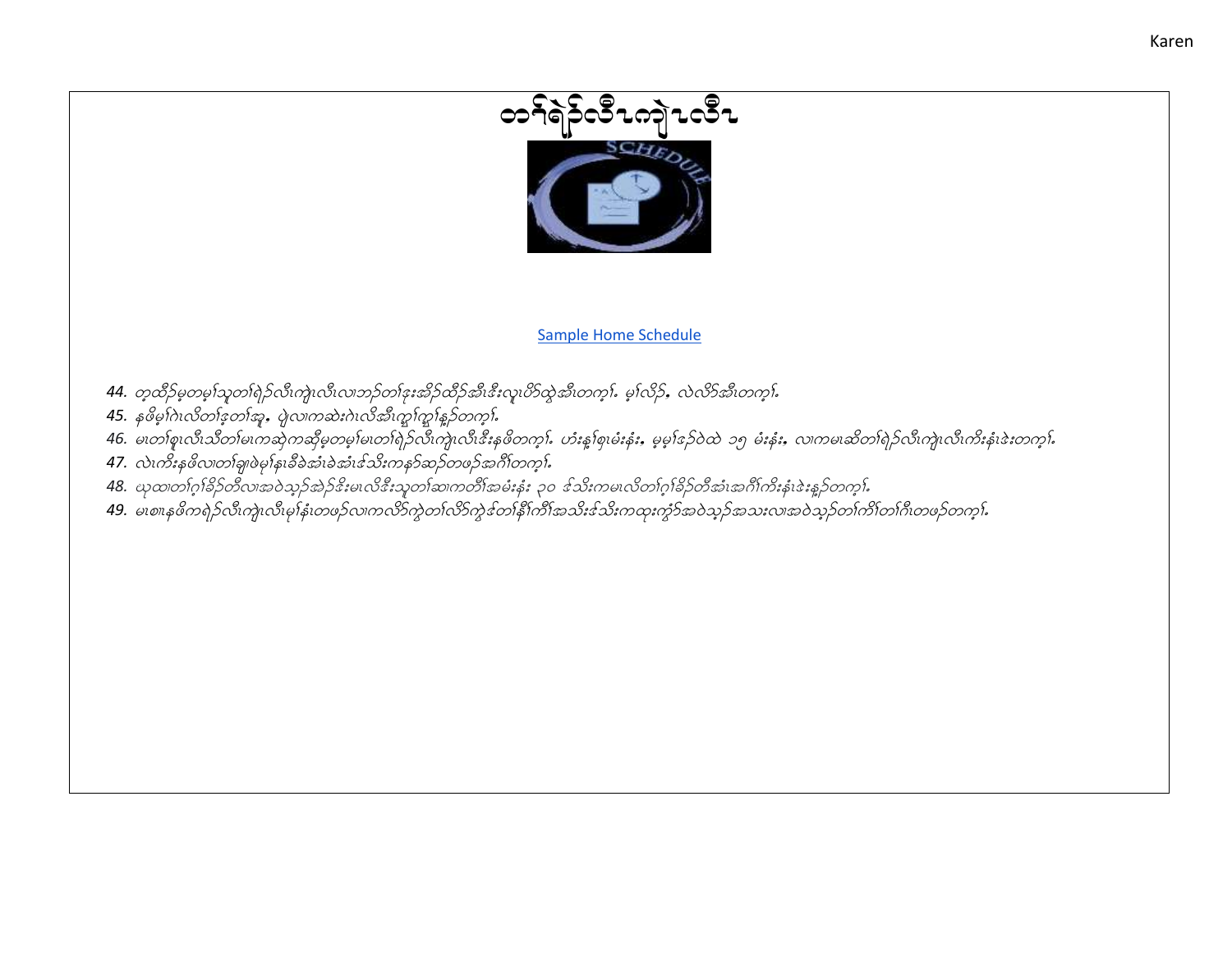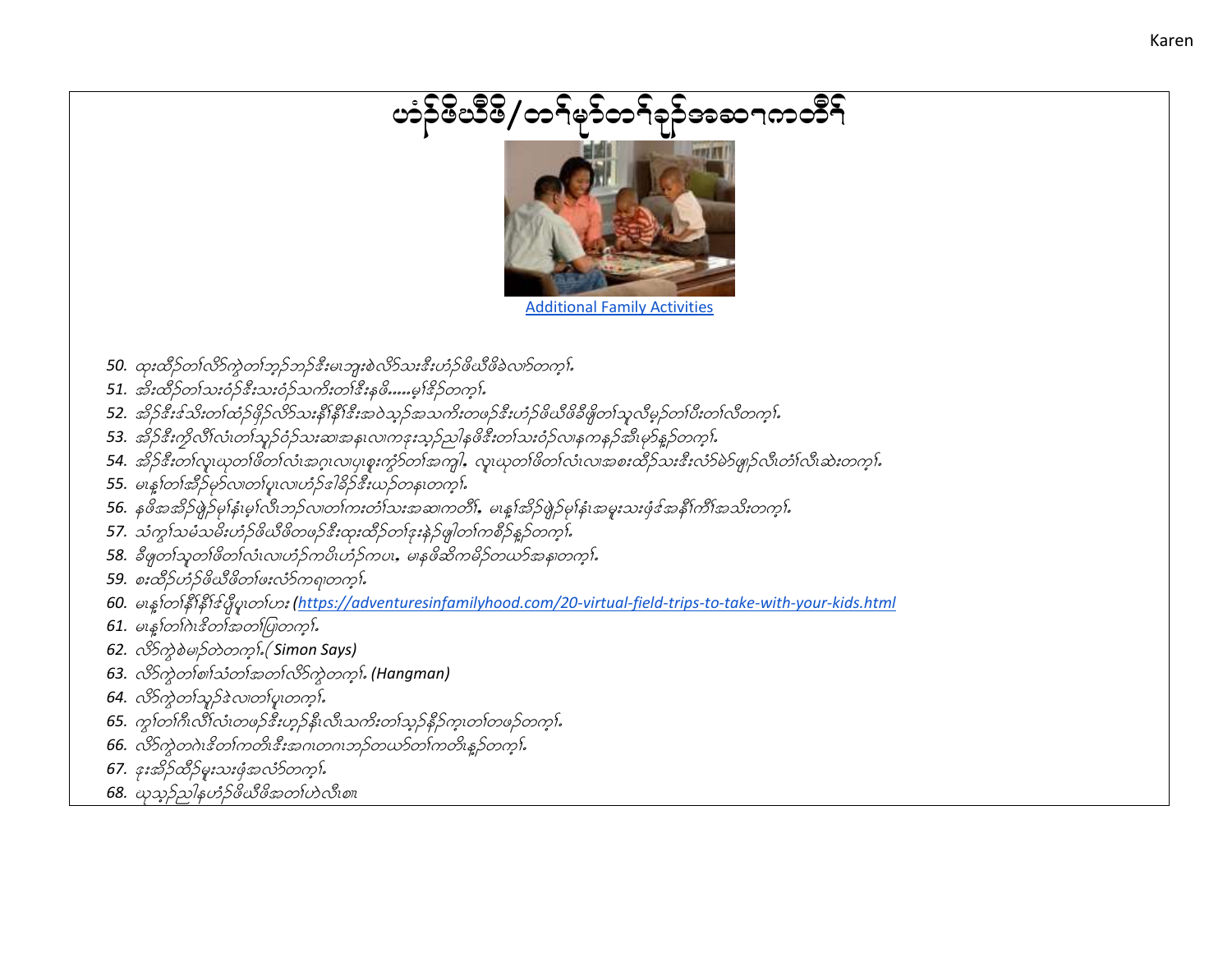## တံဉ်မိသိမိ/တ၅်မှဉ်တ၅်ခုဉ်အဆ႑ကတိ၅်



**Additional Family Activities** 

- 50. ထုးထိဉ်တၤ်လိ၁်ကွဲတၤ်ဘူဉ်ဘဉ်ဒီးမၤဘူးစဲလိ၁်သးဒီးဟံဉ်ဖိယီဖိခဲလက်တက္နါ.
- 51. အိုးထိဉ်တ1်သးဝံဉ်ဒီးသးဝံဉ်သကိုးတ1်ဒီးနှဖိ…..မု1်ဒိဉ်တက္ဂါ.
- 52. အိုဉ်နီးနသ်းတက်ုပိုဉ်ဖိုဉ်လိုသေးနှိုနှိုးနီးအဝဲသုဉ်အသက်းတဖဉ်နီးဟံဉ်ဖိယီဖိခ်ိဖှိုတကျွယ်မှဉ်တက်မိုးတက်လိတကု
- 53. အိ5်ဒီးကိုလိဂ်လံ၊တၢ်သုဉ်ဝံဉ်သးဆ၊အန၊လ၊ကဒုးသုဉ်သါနဖိဒီးတ၊်သးဝံဉ်လ၊နကနဉ်အီးမှာနဉ်တက္န၊်
- 54. အိုဉ်နီးတါလူးယုတါဖိတါလုံးအဂ္ဂုလျပုစူးကွာ်တက်အကျွါ, လူးယုတါဖိတါလုံးလှုအစူးထိဉ်သူးနီးလံာ်မဲ၁ဖျဉ်လိုလုံးလုံးဆုံးတက္နါ.
- 55. မၤန္န1တ1်အိဉ်မှာ်လ၊တ1်ပူးလ၊ဟံဉ်ဒါခိဉ်ဒီးယဉ်တနၤတက္န}်
- 56. နှဖိအအိဉ်ဖွဲ့ဉ်မှုန်းမှုးလိ၊ဘဉ်လ၊တ၊်ကးတံ၊်သးအဆ၊ကတိ၊်, မၤန္န၊်အိဉ်ဖွဲ့ဉ်မှုန်းအမူးသးဖုံ့ဒါအနီ၊်ကိ၊်အသိးတက္
- 57. သံကွ $\tilde{\mathfrak{so}}$ မိသမီးဟံဉ်ဖိယိဖိတဖဉ်နီးထုးထိဉ်တ1်နူးနဲ့ဉ်ဖျ $\,$ တ $\,$ ကစိဉ်နှဉ်တကွ $\,$ ်
- 58. ခ်ီဖျတၤ်သူတၤ်ဖိတၤ်လဲ၊လ၊ဟံဉ်ကပိၤဟံဉ်ကပၤ, မ၊နဖိဆိကမိဉ်တယာ်အန၊တက္န၊်.
- 59. စးထိဉ်ဟံဉ်ဖိယီဖိတၤ်ဖးလံဉ်ကရာတက္ရွ၊်.
- 60. မၤန္နาတာနီးနီးငွိပ္ဖိပ္မဟားဟး (https://adventuresinfamilyhood.com/20-virtual-field-trips-to-take-with-your-kids.html
- $61.$  မၤန $1001$  $\alpha$ ါ $3001$ အတ $1$ ပြုတက္ $1$
- 62.  $\partial^2$   $\partial^2$   $\partial^2$   $\partial^2$   $\partial^2$   $\partial^2$   $\partial^2$   $\partial^2$   $\partial^2$   $\partial^2$   $\partial^2$   $\partial^2$   $\partial^2$   $\partial^2$
- 63. လိွတ်တွဲစာစ်သံတန်အတွက်လိုက်တွေကုန် (Hangman)
- 64. လိွတွဲတက္ရာနဲ့လေးတပူးတက္ရွာ်
- 65. ကွက်ကြီးလိဂ်လံးတဖဉ်နီးဟုဉ်နီးလီးသက်းတၤ်သုဉ်နီဉ်ကူးတၤ်တဖဉ်တကု}.
- 66. လိာ်ကွဲတဂဲၤနိတၤ်ကတိၤနီးအဂၤတဂၤဘဉ်တယာ်တၤ်ကတိၤန္နဉ်တက္။
- 67. ဒုးအိဉ်ထိဉ်မူးသးဖုံအလံာ်တက္ငါး
- 68. ယုသုဉ်ညါနဟံဉ်ဖိယီဖိအတၤ်ဟဲလီးစ။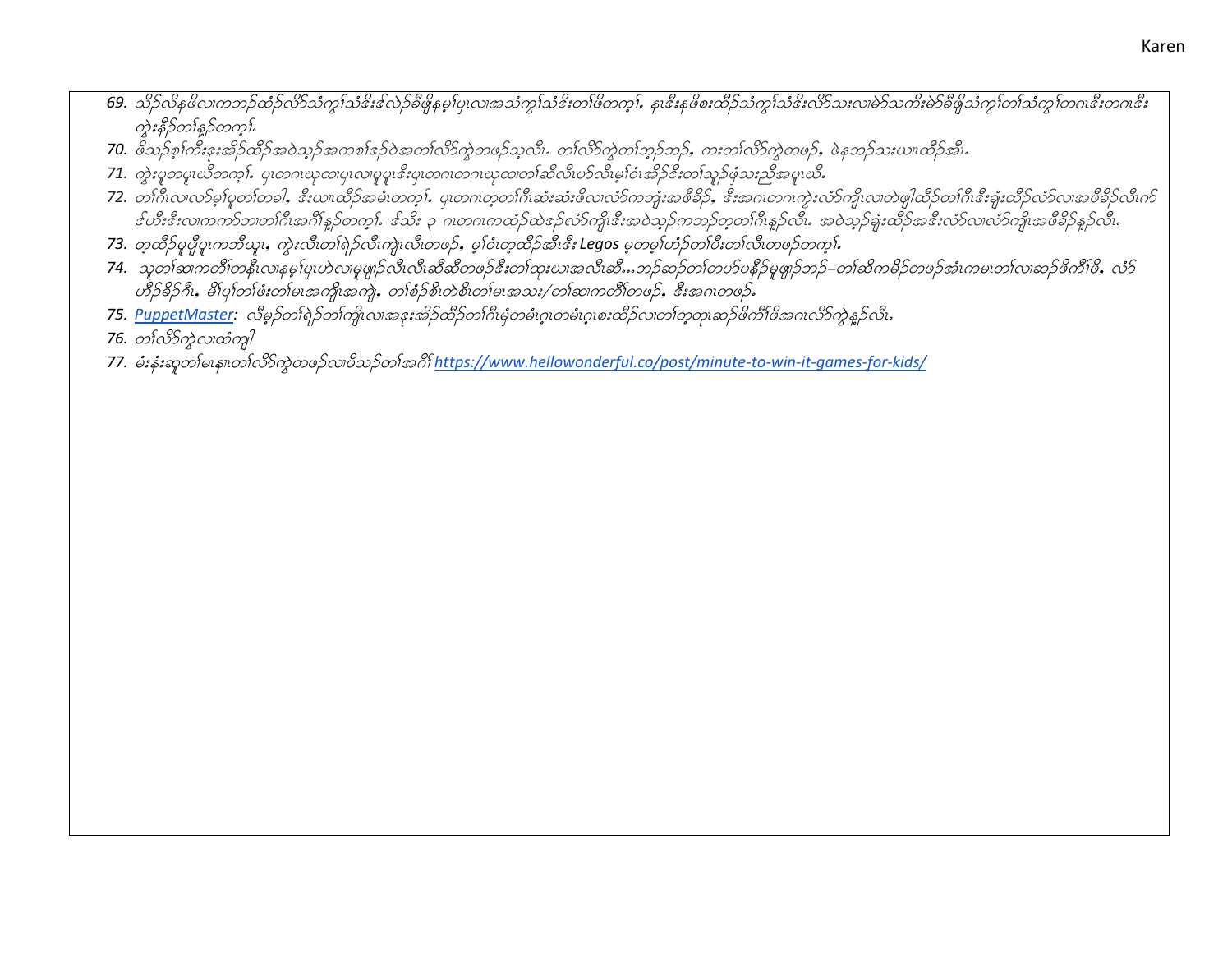- 69. သိုက်နဖိလကာဘုတ်ဉ်လိာသံကျွသံနီးနလှဉ်ခီဖိုနမူးပြုလ၊အသံကျွသံနီးတ၊်ဖိတကူး. န၊နီးနဖိစးထိဉ်သံကျွသ်နီးလိ5်သူးလ၊မဲ၁သကိုးမဲ၁ခီဖိုသံကျွတ်သံကျွတ်ကနီးတဂ၊နီး ကွဲးနီဉ်တၢိန္ဉာတက္နႈ်
- 70. ဗိသဉ်စ္စ္က်ကီးနးအိဉ်ထိဉ်အဝဲသူဉ်အကစ္ကနေ့ဝဲအတ္က်လိ၁်ကွဲတဖဉ်သူလီး. တ္က်လိ၁်ကွဲတ္က်ဘူဉ်ာ ကူးတ္က်လိ၁်ကွဲတဖဉ်, ဖဲနဘူဉ်သူယာထိဉ်အီး.
- 71. ကွဲးပူတပူးယိတက္နႈ်. ပုံးတဂၤဃုထ၊ပုံးလ၊ပူပူးဒီးပုံးတဂၤတဂၤဃုထ၊တ႞ဆီလီးဟ်လီးမွ႞ဝံးအိုဉ်ဒီးတၢ်သူဉ်ဖုံသႏညီအပူးယိႉ
- 72. တကြီးလာလာမွှန်မှတကြခါ, ဒီးယားထိဉ်အမီးတက္ခါ. မူတဂၤတ္တတကြိးဆုံးအီးဖိလာလာဘူးအဖိခံဉ်, ဒီးအဂၤတဂၤကွဲးလာကြိုလာတဲမျှထိဉ်တကြီးနံးခူးထိဉ်လာတစ်မိခိုင်လီးက န်ဟီးနီးလ၊ကက်ဘ၊တဂြီးအင်္ဂါန္ဥတက္ခါ. နသိး ၃ ဂ၊တဂ၊ကထံဥ်ထဲနော်လံခ်ကျိုးနီးအဝဲသူခ်ကဘည်တူတဂြီးနူခ်လီး. အဝဲသူခ်ခုံးဆီခ်အနီးလံခ်လ၊လံခ်ကျိုးအဖီခိခ်နူခ်လီး.
- 73. တူထိဉ်မူပိုပူကဘိယူး, ကွဲးလီးတၢ်ရဲဉ်လီးကျဲးလီးတဖဉ်, မူးဝံးတူထိဉ်အီးဒီး Legos မူတမူးဟဉ်တၤ်ဝီးတၤ်လီးတဖဉ်တက္နႈ်
- 74. သုတၢ်ဆကတိၢ်တနိၤလ၊နမ္းပုယဲလ၊မူဖျဉ်လီးလီးဆီဆီတဖဉ်ဒီးတ၊်ထုးယ၊အလီးဆီ…ဘဉ်ဆဉ်တ၊်တဟ်ပနိဉ်မူဖျဉ်ဘဉ်–တ၊်ဆိကမိဉ်တဖဉ်အံၤကမ၊တ၊်လ၊ဆဉ်ဖိကိၢ်ဖိ, လံဉ် ဟို ၁၆၁ ဦးအား တစ်ပြီး အမြောင်း တစ်ခုနှစ် တစ်ခုနှစ် တစ်ပေး အသုံး (တစ်ဆက်တစ်) အိုးအင်္ဂလာဖြေ
- 75. PuppetMaster: လိမ္နာ်တၢ်ရဲဉ်တၢ်ကိုုလ၊အဒုးအိဉ်ထိဉ်တၢ်ဂိုးမုံတမံၤဂူ၊တမံၤဂူ၊စးထိဉ်လ၊တၢ်တ္ဝှာ၊ဆဉ်ဖိကိၢ်ဖိအဂၤလိာကွဲန္နဉ်လီ၊
- 76. တ္က်လိုက္ခဲလ္၊ထံကူါ
- 77. မီးနှံးဆုတစမေနစတ်လိုဘဲတဖဉ်လဖိသဉ်တစ်အဂိါ https://www.hellowonderful.co/post/minute-to-win-it-games-for-kids/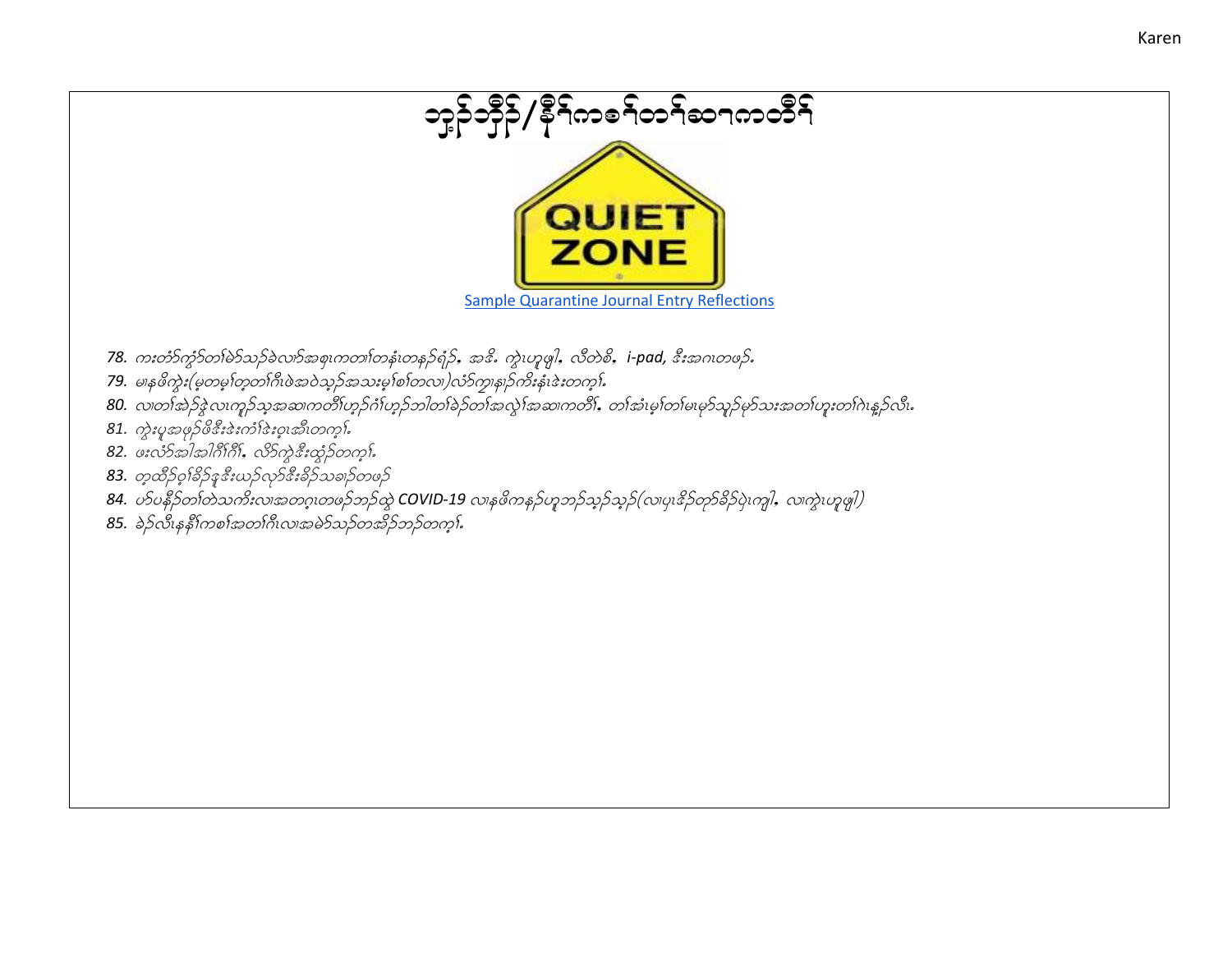

Karen